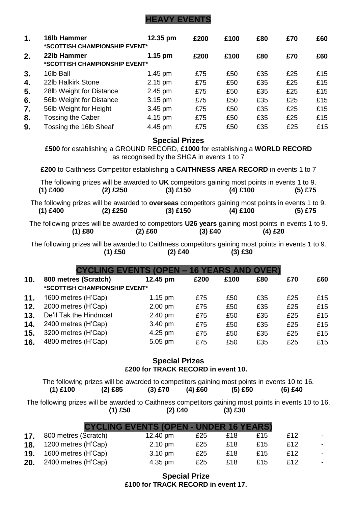# **HEAVY EVENTS**

| 1. | 16lb Hammer<br>*SCOTTISH CHAMPIONSHIP EVENT* | 12.35 pm          | £200 | £100 | £80 | £70 | £60 |
|----|----------------------------------------------|-------------------|------|------|-----|-----|-----|
| 2. | 22lb Hammer<br>*SCOTTISH CHAMPIONSHIP EVENT* | $1.15 \text{ pm}$ | £200 | £100 | £80 | £70 | £60 |
| 3. | 16lb Ball                                    | 1.45 pm           | £75  | £50  | £35 | £25 | £15 |
| 4. | 22lb Halkirk Stone                           | $2.15 \text{ pm}$ | £75  | £50  | £35 | £25 | £15 |
| 5. | 28lb Weight for Distance                     | 2.45 pm           | £75  | £50  | £35 | £25 | £15 |
| 6. | 56lb Weight for Distance                     | $3.15 \text{ pm}$ | £75  | £50  | £35 | £25 | £15 |
| 7. | 56lb Weight for Height                       | 3.45 pm           | £75  | £50  | £35 | £25 | £15 |
| 8. | Tossing the Caber                            | 4.15 pm           | £75  | £50  | £35 | £25 | £15 |
| 9. | Tossing the 16lb Sheaf                       | 4.45 pm           | £75  | £50  | £35 | £25 | £15 |

**Special Prizes**

**£500** for establishing a GROUND RECORD, **£1000** for establishing a **WORLD RECORD** as recognised by the SHGA in events 1 to 7

**£200** to Caithness Competitor establishing a **CAITHNESS AREA RECORD** in events 1 to 7

| $(1)$ £400 | $(2)$ £250 | $(3)$ £150 | The following prizes will be awarded to UK competitors gaining most points in events 1 to 9.<br>$(4)$ £100 | (5) £75 |
|------------|------------|------------|------------------------------------------------------------------------------------------------------------|---------|
|            |            |            |                                                                                                            |         |
|            |            |            | The following prizes will be awarded to <b>overseas</b> competitors gaining most points in events 1 to 9.  |         |
| $(1)$ £400 | $(2)$ £250 | $(3)$ £150 | $(4)$ £100                                                                                                 | (5) £75 |
|            |            |            |                                                                                                            |         |
|            |            |            | The following prizes will be awarded to competitors <b>U26 years</b> gaining most points in events 1 to 9. |         |
| (1) £80    |            | (2) £60    | $(3)$ £40                                                                                                  | (4) £20 |

The following prizes will be awarded to Caithness competitors gaining most points in events 1 to 9.<br>
(2) £40 (3) £30 (3) £30 **(1) £50 (2) £40 (3) £30**

|     | <b>CYCLING EVENTS (OPEN - 16 YEARS AND OVER)</b> |                   |      |      |     |     |     |
|-----|--------------------------------------------------|-------------------|------|------|-----|-----|-----|
| 10. | 800 metres (Scratch)                             | 12.45 pm          | £200 | £100 | £80 | £70 | £60 |
|     | *SCOTTISH CHAMPIONSHIP EVENT*                    |                   |      |      |     |     |     |
| 11. | 1600 metres (H'Cap)                              | $1.15 \text{ pm}$ | £75  | £50  | £35 | £25 | £15 |
| 12. | 2000 metres (H'Cap)                              | $2.00$ pm         | £75  | £50  | £35 | £25 | £15 |
| 13. | De'il Tak the Hindmost                           | 2.40 pm           | £75  | £50  | £35 | £25 | £15 |
| 14. | 2400 metres (H'Cap)                              | 3.40 pm           | £75  | £50  | £35 | £25 | £15 |
| 15. | 3200 metres (H'Cap)                              | 4.25 pm           | £75  | £50  | £35 | £25 | £15 |
| 16. | 4800 metres (H'Cap)                              | 5.05 pm           | £75  | £50  | £35 | £25 | £15 |

## **Special Prizes £200 for TRACK RECORD in event 10.**

The following prizes will be awarded to competitors gaining most points in events 10 to 16. **(1) £100 (2) £85 (3) £70 (4) £60 (5) £50 (6) £40**

The following prizes will be awarded to Caithness competitors gaining most points in events 10 to 16. **(1) £50 (2) £40 (3) £30**

|     |                      | <b>CYCLING EVENTS (OPEN - UNDER 16 YEARS)</b> |     |     |     |     |
|-----|----------------------|-----------------------------------------------|-----|-----|-----|-----|
| 17. | 800 metres (Scratch) | 12.40 pm                                      | £25 | £18 | £15 | £12 |
| 18. | 1200 metres (H'Cap)  | $2.10 \text{ pm}$                             | £25 | £18 | £15 | £12 |
| 19. | 1600 metres (H'Cap)  | 3.10 pm                                       | £25 | £18 | £15 | £12 |
| 20. | 2400 metres (H'Cap)  | 4.35 pm                                       | £25 | £18 | £15 | £12 |

## **Special Prize £100 for TRACK RECORD in event 17.**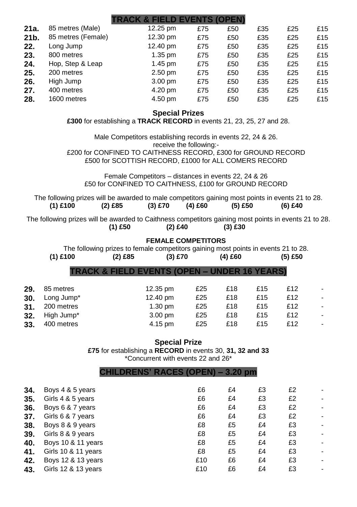|      |                    | <b>TRACK &amp; FIELD EVENTS (OPEN)</b> |     |     |     |     |     |
|------|--------------------|----------------------------------------|-----|-----|-----|-----|-----|
| 21a. | 85 metres (Male)   | 12.25 pm                               | £75 | £50 | £35 | £25 | £15 |
| 21b. | 85 metres (Female) | 12.30 pm                               | £75 | £50 | £35 | £25 | £15 |
| 22.  | Long Jump          | 12.40 pm                               | £75 | £50 | £35 | £25 | £15 |
| 23.  | 800 metres         | $1.35 \text{ pm}$                      | £75 | £50 | £35 | £25 | £15 |
| 24.  | Hop, Step & Leap   | $1.45 \text{ pm}$                      | £75 | £50 | £35 | £25 | £15 |
| 25.  | 200 metres         | $2.50$ pm                              | £75 | £50 | £35 | £25 | £15 |
| 26.  | High Jump          | $3.00 \text{ pm}$                      | £75 | £50 | £35 | £25 | £15 |
| 27.  | 400 metres         | 4.20 pm                                | £75 | £50 | £35 | £25 | £15 |
| 28.  | 1600 metres        | 4.50 pm                                | £75 | £50 | £35 | £25 | £15 |
|      |                    |                                        |     |     |     |     |     |

## **Special Prizes**

**£300** for establishing a **TRACK RECORD** in events 21, 23, 25, 27 and 28.

Male Competitors establishing records in events 22, 24 & 26. receive the following:-

£200 for CONFINED TO CAITHNESS RECORD, £300 for GROUND RECORD £500 for SCOTTISH RECORD, £1000 for ALL COMERS RECORD

Female Competitors – distances in events 22, 24 & 26 £50 for CONFINED TO CAITHNESS, £100 for GROUND RECORD

The following prizes will be awarded to male competitors gaining most points in events 21 to 28.<br>(1) £100 (2) £85 (3) £70 (4) £60 (5) £50 (6) £40 **(1) £100 (2) £85 (3) £70 (4) £60 (5) £50 (6) £40**

The following prizes will be awarded to Caithness competitors gaining most points in events 21 to 28.<br>(2) £40 (3) £30 (3) £30 **(1) £50 (2) £40 (3) £30**

#### **FEMALE COMPETITORS**

The following prizes to female competitors gaining most points in events 21 to 28.<br>
(1) £100 (2) £85 (3) £70 (4) £60 (5) £50 **(1) £100 (2) £85 (3) £70 (4) £60 (5) £50**

| TRACK & FIELD EVENTS (OPEN – UNDER 16 YEARS) |  |  |  |
|----------------------------------------------|--|--|--|

| 29. | 85 metres             | 12.35 pm          | £25 | £18 | £15 | £12 |  |
|-----|-----------------------|-------------------|-----|-----|-----|-----|--|
|     | 30. Long Jump*        | 12.40 pm          | £25 | £18 | £15 | £12 |  |
|     | <b>31.</b> 200 metres | $1.30 \text{ pm}$ | £25 | £18 | £15 | £12 |  |
|     | 32. High Jump*        | 3.00 pm           | £25 | £18 | £15 | £12 |  |
| 33. | 400 metres            | 4.15 pm           | £25 | £18 | £15 | £12 |  |

#### **Special Prize**

**£75** for establishing a **RECORD** in events 30, **31, 32 and 33** \*Concurrent with events 22 and 26\*

#### **CHILDRENS' RACES (OPEN) – 3.20 pm**

| 34. | Boys 4 & 5 years    | £6  | £4 | £3 | £2 |  |
|-----|---------------------|-----|----|----|----|--|
| 35. | Girls 4 & 5 years   | £6  | £4 | £3 | £2 |  |
| 36. | Boys 6 & 7 years    | £6  | £4 | £3 | £2 |  |
| 37. | Girls 6 & 7 years   | £6  | £4 | £3 | £2 |  |
| 38. | Boys 8 & 9 years    | £8  | £5 | £4 | £3 |  |
| 39. | Girls 8 & 9 years   | £8  | £5 | £4 | £3 |  |
| 40. | Boys 10 & 11 years  | £8  | £5 | £4 | £3 |  |
| 41. | Girls 10 & 11 years | £8  | £5 | £4 | £3 |  |
| 42. | Boys 12 & 13 years  | £10 | £6 | £4 | £3 |  |
| 43. | Girls 12 & 13 years | £10 | £6 | £4 | £3 |  |
|     |                     |     |    |    |    |  |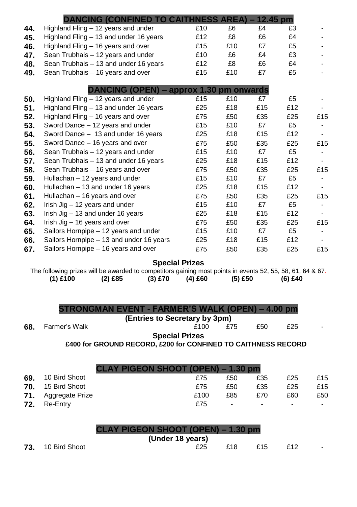|     | <b>DANCING (CONFINED TO CAITHNESS AREA) – 12.45 pm</b>                                                     |           |                                         |         |     |           |     |
|-----|------------------------------------------------------------------------------------------------------------|-----------|-----------------------------------------|---------|-----|-----------|-----|
| 44. | Highland Fling - 12 years and under                                                                        |           | £10                                     | £6      | £4  | £3        |     |
| 45. | Highland Fling - 13 and under 16 years                                                                     |           | £12                                     | £8      | £6  | £4        |     |
| 46. | Highland Fling – 16 years and over                                                                         |           | £15                                     | £10     | £7  | £5        |     |
| 47. | Sean Trubhais - 12 years and under                                                                         |           | £10                                     | £6      | £4  | £3        |     |
| 48. | Sean Trubhais - 13 and under 16 years                                                                      |           | £12                                     | £8      | £6  | £4        |     |
| 49. | Sean Trubhais - 16 years and over                                                                          |           | £15                                     | £10     | £7  | £5        |     |
|     |                                                                                                            |           |                                         |         |     |           |     |
|     |                                                                                                            |           | DANCING (OPEN) – approx 1.30 pm onwards |         |     |           |     |
| 50. | Highland Fling - 12 years and under                                                                        |           | £15                                     | £10     | £7  | £5        |     |
| 51. | Highland Fling - 13 and under 16 years                                                                     |           | £25                                     | £18     | £15 | £12       |     |
| 52. | Highland Fling – 16 years and over                                                                         |           | £75                                     | £50     | £35 | £25       | £15 |
| 53. | Sword Dance - 12 years and under                                                                           |           | £15                                     | £10     | £7  | £5        |     |
| 54. | Sword Dance - 13 and under 16 years                                                                        |           | £25                                     | £18     | £15 | £12       |     |
| 55. | Sword Dance - 16 years and over                                                                            |           | £75                                     | £50     | £35 | £25       | £15 |
| 56. | Sean Trubhais - 12 years and under                                                                         |           | £15                                     | £10     | £7  | £5        |     |
| 57. | Sean Trubhais - 13 and under 16 years                                                                      |           | £25                                     | £18     | £15 | £12       |     |
| 58. | Sean Trubhais - 16 years and over                                                                          |           | £75                                     | £50     | £35 | £25       | £15 |
| 59. | Hullachan - 12 years and under                                                                             |           | £15                                     | £10     | £7  | £5        |     |
| 60. | Hullachan - 13 and under 16 years                                                                          |           | £25                                     | £18     | £15 | £12       |     |
| 61. | Hullachan - 16 years and over                                                                              |           | £75                                     | £50     | £35 | £25       | £15 |
| 62. | Irish $Jig - 12$ years and under                                                                           |           | £15                                     | £10     | £7  | £5        |     |
| 63. | Irish Jig $-13$ and under 16 years                                                                         |           | £25                                     | £18     | £15 | £12       |     |
| 64. | Irish $Jig - 16$ years and over                                                                            |           | £75                                     | £50     | £35 | £25       | £15 |
| 65. | Sailors Hornpipe - 12 years and under                                                                      |           | £15                                     | £10     | £7  | £5        |     |
| 66. | Sailors Hornpipe - 13 and under 16 years                                                                   |           | £25                                     | £18     | £15 | £12       |     |
| 67. | Sailors Hornpipe - 16 years and over                                                                       |           | £75                                     | £50     | £35 | £25       | £15 |
|     |                                                                                                            |           | <b>Special Prizes</b>                   |         |     |           |     |
|     | The following prizes will be awarded to competitors gaining most points in events 52, 55, 58, 61, 64 & 67. |           |                                         |         |     |           |     |
|     | $(1)$ £100<br>$(2)$ £85                                                                                    | $(3)$ £70 | (4) £60                                 | (5) £50 |     | $(6)$ £40 |     |
|     |                                                                                                            |           |                                         |         |     |           |     |
|     |                                                                                                            |           |                                         |         |     |           |     |
|     |                                                                                                            |           |                                         |         |     |           |     |

| STRONGMAN EVENT - FARMER'S WALK (OPEN) – 4.00 pm |  |  |
|--------------------------------------------------|--|--|
|                                                  |  |  |

**(Entries to Secretary by 3pm)**<br>£100 £75

**68.** Farmer's Walk **68.** Farmer's Walk **Example 25** and Example 25

**Special Prizes**

**£400 for GROUND RECORD, £200 for CONFINED TO CAITHNESS RECORD**

|     |                            | <b>CLAY PIGEON SHOOT (OPEN) – 1.30 pm</b> |      |        |                |     |        |
|-----|----------------------------|-------------------------------------------|------|--------|----------------|-----|--------|
| 69. | 10 Bird Shoot              |                                           | £75  | £50    | £35            | £25 | £15    |
| 70. | 15 Bird Shoot              |                                           | £75  | £50    | £35            | £25 | £15    |
|     | <b>71.</b> Aggregate Prize |                                           | £100 | £85    | £70            | £60 | £50    |
| 72. | Re-Entry                   |                                           | £75  | $\sim$ | $\blacksquare$ |     | $\sim$ |

|                          | <b>CLAY PIGEON SHOOT (OPEN) – 1.30 pm</b> |     |     |     |  |
|--------------------------|-------------------------------------------|-----|-----|-----|--|
|                          | (Under 18 years)                          |     |     |     |  |
| <b>73.</b> 10 Bird Shoot | £25                                       | £18 | £15 | £12 |  |